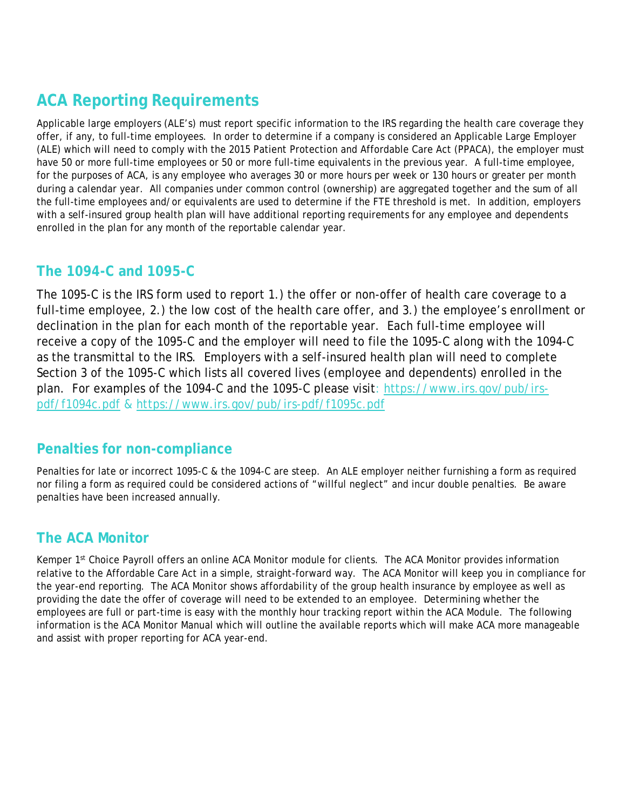# **ACA Reporting Requirements**

Applicable large employers (ALE's) must report specific information to the IRS regarding the health care coverage they offer, if any, to full-time employees. In order to determine if a company is considered an Applicable Large Employer (ALE) which will need to comply with the 2015 Patient Protection and Affordable Care Act (PPACA), the employer must have 50 or more full-time employees or 50 or more full-time equivalents in the previous year. A full-time employee, for the purposes of ACA, is any employee who averages 30 or more hours per week or 130 hours or greater per month during a calendar year. All companies under common control (ownership) are aggregated together and the sum of all the full-time employees and/or equivalents are used to determine if the FTE threshold is met. In addition, employers with a self-insured group health plan will have additional reporting requirements for any employee and dependents enrolled in the plan for any month of the reportable calendar year.

## **The 1094-C and 1095-C**

The 1095-C is the IRS form used to report 1.) the offer or non-offer of health care coverage to a full-time employee, 2.) the low cost of the health care offer, and 3.) the employee's enrollment or declination in the plan for each month of the reportable year. Each full-time employee will receive a copy of the 1095-C and the employer will need to file the 1095-C along with the 1094-C as the transmittal to the IRS. Employers with a self-insured health plan will need to complete Section 3 of the 1095-C which lists all covered lives (employee and dependents) enrolled in the plan. For examples of the 1094-C and the 1095-C please visit: [https://www.irs.gov/pub/irs](https://www.irs.gov/pub/irs-pdf/f1094c.pdf)[pdf/f1094c.pdf](https://www.irs.gov/pub/irs-pdf/f1094c.pdf) &<https://www.irs.gov/pub/irs-pdf/f1095c.pdf>

## **Penalties for non-compliance**

Penalties for late or incorrect 1095-C & the 1094-C are steep. An ALE employer neither furnishing a form as required nor filing a form as required could be considered actions of "willful neglect" and incur double penalties. Be aware penalties have been increased annually.

## **The ACA Monitor**

Kemper 1<sup>st</sup> Choice Payroll offers an online ACA Monitor module for clients. The ACA Monitor provides information relative to the Affordable Care Act in a simple, straight-forward way. The ACA Monitor will keep you in compliance for the year-end reporting. The ACA Monitor shows affordability of the group health insurance by employee as well as providing the date the offer of coverage will need to be extended to an employee. Determining whether the employees are full or part-time is easy with the monthly hour tracking report within the ACA Module. The following information is the ACA Monitor Manual which will outline the available reports which will make ACA more manageable and assist with proper reporting for ACA year-end.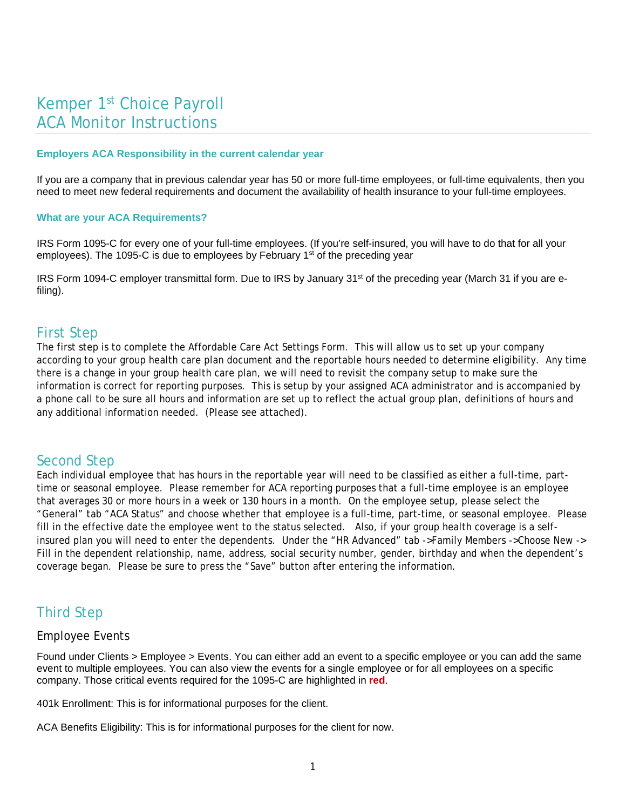# Kemper 1st Choice Payroll ACA Monitor Instructions

#### **Employers ACA Responsibility in the current calendar year**

If you are a company that in previous calendar year has 50 or more full-time employees, or full-time equivalents, then you need to meet new federal requirements and document the availability of health insurance to your full-time employees.

#### **What are your ACA Requirements?**

IRS Form 1095-C for every one of your full-time employees. (If you're self-insured, you will have to do that for all your employees). The 1095-C is due to employees by February  $1<sup>st</sup>$  of the preceding year

IRS Form 1094-C employer transmittal form. Due to IRS by January 31st of the preceding year (March 31 if you are efiling).

#### First Step

The first step is to complete the Affordable Care Act Settings Form. This will allow us to set up your company according to your group health care plan document and the reportable hours needed to determine eligibility. Any time there is a change in your group health care plan, we will need to revisit the company setup to make sure the information is correct for reporting purposes. This is setup by your assigned ACA administrator and is accompanied by a phone call to be sure all hours and information are set up to reflect the actual group plan, definitions of hours and any additional information needed. (Please see attached).

#### Second Step

Each individual employee that has hours in the reportable year will need to be classified as either a full-time, parttime or seasonal employee. Please remember for ACA reporting purposes that a full-time employee is an employee that averages 30 or more hours in a week or 130 hours in a month. On the employee setup, please select the "General" tab "ACA Status" and choose whether that employee is a full-time, part-time, or seasonal employee. Please fill in the effective date the employee went to the status selected. Also, if your group health coverage is a selfinsured plan you will need to enter the dependents. Under the "HR Advanced" tab ->Family Members ->Choose New -> Fill in the dependent relationship, name, address, social security number, gender, birthday and when the dependent's coverage began. Please be sure to press the "Save" button after entering the information.

## Third Step

#### Employee Events

Found under Clients > Employee > Events. You can either add an event to a specific employee or you can add the same event to multiple employees. You can also view the events for a single employee or for all employees on a specific company. Those critical events required for the 1095-C are highlighted in **red**.

401k Enrollment: This is for informational purposes for the client.

ACA Benefits Eligibility: This is for informational purposes for the client for now.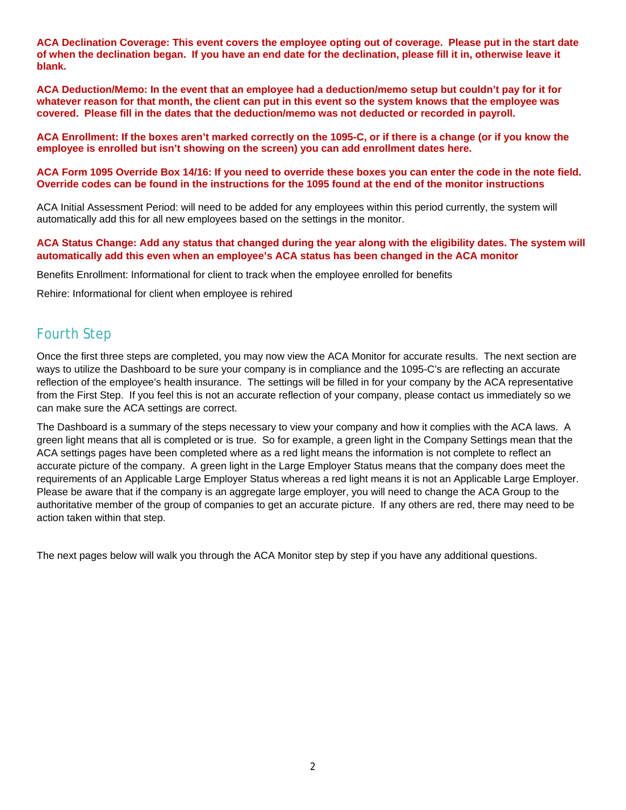**ACA Declination Coverage: This event covers the employee opting out of coverage. Please put in the start date of when the declination began. If you have an end date for the declination, please fill it in, otherwise leave it blank.** 

**ACA Deduction/Memo: In the event that an employee had a deduction/memo setup but couldn't pay for it for whatever reason for that month, the client can put in this event so the system knows that the employee was covered. Please fill in the dates that the deduction/memo was not deducted or recorded in payroll.**

**ACA Enrollment: If the boxes aren't marked correctly on the 1095-C, or if there is a change (or if you know the employee is enrolled but isn't showing on the screen) you can add enrollment dates here.**

#### **ACA Form 1095 Override Box 14/16: If you need to override these boxes you can enter the code in the note field. Override codes can be found in the instructions for the 1095 found at the end of the monitor instructions**

ACA Initial Assessment Period: will need to be added for any employees within this period currently, the system will automatically add this for all new employees based on the settings in the monitor.

#### **ACA Status Change: Add any status that changed during the year along with the eligibility dates. The system will automatically add this even when an employee's ACA status has been changed in the ACA monitor**

Benefits Enrollment: Informational for client to track when the employee enrolled for benefits

Rehire: Informational for client when employee is rehired

#### Fourth Step

Once the first three steps are completed, you may now view the ACA Monitor for accurate results. The next section are ways to utilize the Dashboard to be sure your company is in compliance and the 1095-C's are reflecting an accurate reflection of the employee's health insurance. The settings will be filled in for your company by the ACA representative from the First Step. If you feel this is not an accurate reflection of your company, please contact us immediately so we can make sure the ACA settings are correct.

The Dashboard is a summary of the steps necessary to view your company and how it complies with the ACA laws. A green light means that all is completed or is true. So for example, a green light in the Company Settings mean that the ACA settings pages have been completed where as a red light means the information is not complete to reflect an accurate picture of the company. A green light in the Large Employer Status means that the company does meet the requirements of an Applicable Large Employer Status whereas a red light means it is not an Applicable Large Employer. Please be aware that if the company is an aggregate large employer, you will need to change the ACA Group to the authoritative member of the group of companies to get an accurate picture. If any others are red, there may need to be action taken within that step.

The next pages below will walk you through the ACA Monitor step by step if you have any additional questions.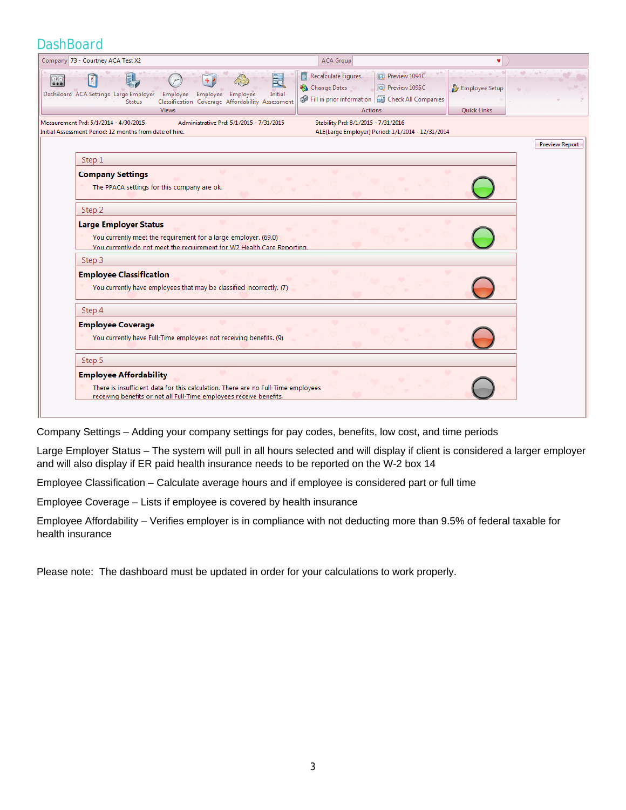#### **DashBoard**

| Company 73 - Courtney ACA Test X2                                                                                                                                                                                                                                                                                                                                                            | <b>ACA Group</b>                                                                                                                                                                                                        | ۷                             |
|----------------------------------------------------------------------------------------------------------------------------------------------------------------------------------------------------------------------------------------------------------------------------------------------------------------------------------------------------------------------------------------------|-------------------------------------------------------------------------------------------------------------------------------------------------------------------------------------------------------------------------|-------------------------------|
| BI<br>$\mathbf{A}$<br>88<br>DashBoard ACA Settings Large Employer Employee Employee Employee<br><b>Status</b><br><b>Views</b>                                                                                                                                                                                                                                                                | <b>Recalculate Figures</b><br>Preview 1094C<br>最<br>Change Dates<br>Preview 1095C<br>Initial<br>Fill in prior information   B Check All Companies<br>Classification Coverage Affordability Assessment<br><b>Actions</b> | Employee Setup<br>Quick Links |
| Measurement Prd: 5/1/2014 - 4/30/2015<br>Initial Assessment Period: 12 months from date of hire.                                                                                                                                                                                                                                                                                             | Administrative Prd: 5/1/2015 - 7/31/2015<br>Stability Prd: 8/1/2015 - 7/31/2016<br>ALE(Large Employer) Period: 1/1/2014 - 12/31/2014                                                                                    |                               |
| Step 1<br><b>Company Settings</b><br>The PPACA settings for this company are ok.<br>Step 2<br><b>Large Employer Status</b><br>You currently meet the requirement for a large employer. (69.0)<br>You currently do not meet the requirement for W2 Health Care Reporting.<br>Step 3<br><b>Employee Classification</b><br>You currently have employees that may be classified incorrectly. (7) |                                                                                                                                                                                                                         | <b>Preview Report</b>         |
| Step 4<br><b>Employee Coverage</b><br>You currently have Full-Time employees not receiving benefits. (9)<br>Step 5<br><b>Employee Affordability</b>                                                                                                                                                                                                                                          |                                                                                                                                                                                                                         |                               |
| There is insufficient data for this calculation. There are no Full-Time employees<br>receiving benefits or not all Full-Time employees receive benefits.                                                                                                                                                                                                                                     |                                                                                                                                                                                                                         |                               |

Company Settings – Adding your company settings for pay codes, benefits, low cost, and time periods

Large Employer Status – The system will pull in all hours selected and will display if client is considered a larger employer and will also display if ER paid health insurance needs to be reported on the W-2 box 14

Employee Classification – Calculate average hours and if employee is considered part or full time

Employee Coverage – Lists if employee is covered by health insurance

Employee Affordability – Verifies employer is in compliance with not deducting more than 9.5% of federal taxable for health insurance

Please note: The dashboard must be updated in order for your calculations to work properly.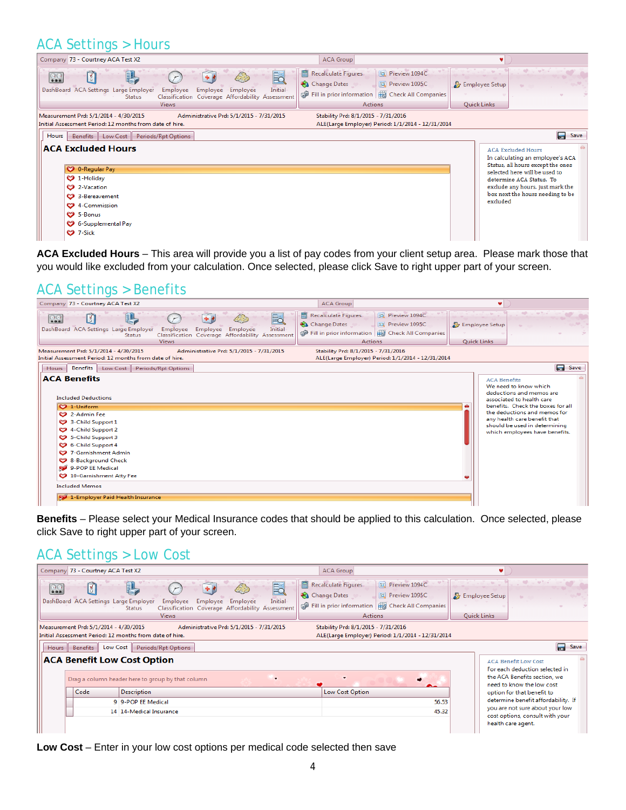# ACA Settings > Hours

| Company 73 - Courtney ACA Test X2                                                                                                                                                                                                     | <b>ACA Group</b>                                                                                                                                         |                                                                                                                                                                                                                                                     |                               |
|---------------------------------------------------------------------------------------------------------------------------------------------------------------------------------------------------------------------------------------|----------------------------------------------------------------------------------------------------------------------------------------------------------|-----------------------------------------------------------------------------------------------------------------------------------------------------------------------------------------------------------------------------------------------------|-------------------------------|
| 最<br>図<br>$\frac{1}{200}$<br>DashBoard ACA Settings Large Employer<br>Initial<br>Employee<br>Employee<br>Employee<br>Classification Coverage Affordability Assessment<br><b>Status</b><br><b>Views</b>                                | Recalculate Figures<br>Preview 1094C<br><b>Ext</b> Preview 1095C<br>Change Dates<br>Fill in prior information   EX Check All Companies<br><b>Actions</b> | $\mathcal{L}^{(1)}_{\mathcal{L}}=\mathcal{L}^{(2)}_{\mathcal{L}}=\mathcal{L}^{(1)}_{\mathcal{L}}$<br>Employee Setup<br>Quick Links                                                                                                                  |                               |
| Measurement Prd: 5/1/2014 - 4/30/2015<br>Administrative Prd: 5/1/2015 - 7/31/2015<br>Initial Assessment Period: 12 months from date of hire.                                                                                          | Stability Prd: 8/1/2015 - 7/31/2016<br>ALE(Large Employer) Period: 1/1/2014 - 12/31/2014                                                                 |                                                                                                                                                                                                                                                     |                               |
| Benefits Low Cost Periods/Rpt Options<br>Hours   <br><b>ACA Excluded Hours</b><br>C 0-Regular Pay<br>$\bullet$ 1-Holiday<br>2-Vacation<br>3-Bereavement<br>4-Commission<br>C <sub>2</sub> 5-Bonus<br>6-Supplemental Pay<br>$9$ 7-Sick |                                                                                                                                                          | <b>ACA Excluded Hours</b><br>In calculating an employee's ACA<br>Status, all hours except the ones<br>selected here will be used to<br>determine ACA Status. To<br>exclude any hours, just mark the<br>box next the hours needing to be<br>excluded | $\overline{\phantom{a}}$ Save |

**ACA Excluded Hours** – This area will provide you a list of pay codes from your client setup area. Please mark those that you would like excluded from your calculation. Once selected, please click Save to right upper part of your screen.

# ACA Settings > Benefits



**Benefits** – Please select your Medical Insurance codes that should be applied to this calculation. Once selected, please click Save to right upper part of your screen.

#### ACA Settings > Low Cost

| Company 73 - Courtney ACA Test X2                                                                                                                                                                                            | <b>ACA Group</b>                                                                                                                                        |                               |                                                                    |  |  |  |  |  |  |  |  |
|------------------------------------------------------------------------------------------------------------------------------------------------------------------------------------------------------------------------------|---------------------------------------------------------------------------------------------------------------------------------------------------------|-------------------------------|--------------------------------------------------------------------|--|--|--|--|--|--|--|--|
| E.<br>冏<br>$\overline{\mathcal{O} \mathcal{O}}$<br>DashBoard ACA Settings Large Employer<br>Initial<br>Employee<br>Employee<br>Employee<br>Classification Coverage Affordability Assessment<br><b>Status</b><br><b>Views</b> | <b>DE Preview 1094C</b><br>Recalculate Figures<br>Change Dates<br>Preview 1095C<br>Fill in prior information   EN Check All Companies<br><b>Actions</b> | Employee Setup<br>Quick Links | the second control of the second                                   |  |  |  |  |  |  |  |  |
| Stability Prd: 8/1/2015 - 7/31/2016<br>Measurement Prd: 5/1/2014 - 4/30/2015<br>Administrative Prd: 5/1/2015 - 7/31/2015                                                                                                     |                                                                                                                                                         |                               |                                                                    |  |  |  |  |  |  |  |  |
| Initial Assessment Period: 12 months from date of hire.                                                                                                                                                                      | ALE(Large Employer) Period: 1/1/2014 - 12/31/2014                                                                                                       |                               |                                                                    |  |  |  |  |  |  |  |  |
| Low Cost<br>Periods/Rpt Options<br><b>Benefits</b><br><b>Hours</b>                                                                                                                                                           | Save                                                                                                                                                    |                               |                                                                    |  |  |  |  |  |  |  |  |
| <b>ACA Benefit Low Cost Option</b>                                                                                                                                                                                           |                                                                                                                                                         |                               | <b>ACA Benefit Low Cost</b><br>For each deduction selected in      |  |  |  |  |  |  |  |  |
| Drag a column header here to group by that column                                                                                                                                                                            |                                                                                                                                                         |                               | the ACA Benefits section, we<br>need to know the low cost          |  |  |  |  |  |  |  |  |
| <b>Description</b><br>Code                                                                                                                                                                                                   | Low Cost Option                                                                                                                                         |                               | option for that benefit to                                         |  |  |  |  |  |  |  |  |
| 9 9-POP EE Medical                                                                                                                                                                                                           | 56.53                                                                                                                                                   |                               | determine benefit affordability. If                                |  |  |  |  |  |  |  |  |
| 14 14-Medical Insurance                                                                                                                                                                                                      | 45.32                                                                                                                                                   |                               | you are not sure about your low<br>cost options, consult with your |  |  |  |  |  |  |  |  |
|                                                                                                                                                                                                                              |                                                                                                                                                         |                               | health care agent.                                                 |  |  |  |  |  |  |  |  |

**Low Cost** – Enter in your low cost options per medical code selected then save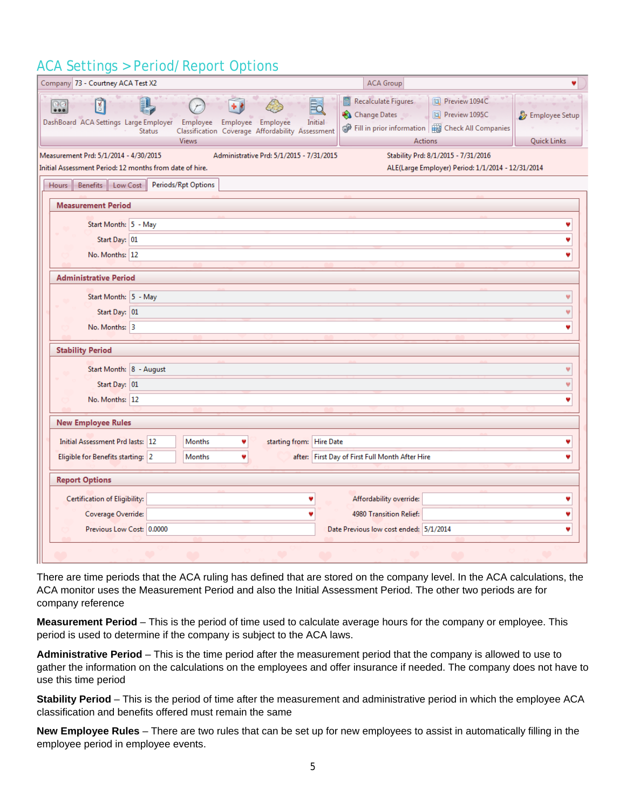# ACA Settings > Period/Report Options

| Company 73 - Courtney ACA Test X2                       |                                                                                                 |                                          | <b>ACA Group</b>                                |                                                                   |                    |
|---------------------------------------------------------|-------------------------------------------------------------------------------------------------|------------------------------------------|-------------------------------------------------|-------------------------------------------------------------------|--------------------|
|                                                         |                                                                                                 |                                          |                                                 |                                                                   |                    |
| 000                                                     |                                                                                                 |                                          | Recalculate Figures<br>E.<br>Change Dates       | Preview 1094C<br>Preview 1095C                                    | Employee Setup     |
| DashBoard ACA Settings Large Employer                   | Employee Employee Employee<br><b>Status</b><br>Classification Coverage Affordability Assessment |                                          | Initial                                         | <b>P</b> Fill in prior information   <b>B</b> Check All Companies |                    |
|                                                         | <b>Views</b>                                                                                    |                                          |                                                 | <b>Actions</b>                                                    | <b>Quick Links</b> |
| Measurement Prd: 5/1/2014 - 4/30/2015                   |                                                                                                 | Administrative Prd: 5/1/2015 - 7/31/2015 |                                                 | Stability Prd: 8/1/2015 - 7/31/2016                               |                    |
| Initial Assessment Period: 12 months from date of hire. |                                                                                                 |                                          |                                                 | ALE(Large Employer) Period: 1/1/2014 - 12/31/2014                 |                    |
| Benefits Low Cost<br>Hours                              | Periods/Rpt Options                                                                             |                                          |                                                 |                                                                   |                    |
| <b>Measurement Period</b>                               |                                                                                                 |                                          |                                                 |                                                                   |                    |
| Start Month: 5 - May                                    |                                                                                                 |                                          |                                                 |                                                                   | ۷                  |
| Start Day: 01                                           |                                                                                                 |                                          |                                                 |                                                                   | w                  |
| No. Months: 12                                          |                                                                                                 |                                          |                                                 |                                                                   |                    |
|                                                         |                                                                                                 |                                          |                                                 |                                                                   |                    |
| <b>Administrative Period</b>                            |                                                                                                 |                                          |                                                 |                                                                   |                    |
| Start Month: 5 - May                                    |                                                                                                 |                                          |                                                 |                                                                   | v                  |
| Start Day: 01                                           |                                                                                                 |                                          |                                                 |                                                                   | v                  |
| No. Months: 3                                           |                                                                                                 |                                          |                                                 |                                                                   | ۷                  |
|                                                         |                                                                                                 |                                          |                                                 |                                                                   |                    |
| <b>Stability Period</b>                                 |                                                                                                 |                                          |                                                 |                                                                   |                    |
| Start Month: 8 - August                                 |                                                                                                 |                                          |                                                 |                                                                   | v                  |
| Start Day: 01                                           |                                                                                                 |                                          |                                                 |                                                                   | v                  |
| No. Months: 12                                          |                                                                                                 |                                          |                                                 |                                                                   | ۷                  |
|                                                         |                                                                                                 |                                          |                                                 |                                                                   |                    |
| <b>New Employee Rules</b>                               |                                                                                                 |                                          |                                                 |                                                                   |                    |
| Initial Assessment Prd lasts: 12                        | Months                                                                                          | starting from: Hire Date                 |                                                 |                                                                   | ۷                  |
| Eligible for Benefits starting: 2                       | <b>Months</b>                                                                                   |                                          | after: First Day of First Full Month After Hire |                                                                   | v                  |
| <b>Report Options</b>                                   |                                                                                                 |                                          |                                                 |                                                                   |                    |
| Certification of Eligibility:                           |                                                                                                 |                                          | Affordability override:                         |                                                                   | v                  |
| Coverage Override:                                      |                                                                                                 |                                          | 4980 Transition Relief:                         |                                                                   | v                  |
| Previous Low Cost: 0.0000                               |                                                                                                 |                                          | Date Previous low cost ended: 5/1/2014          |                                                                   | ۷                  |
|                                                         |                                                                                                 |                                          |                                                 |                                                                   |                    |

There are time periods that the ACA ruling has defined that are stored on the company level. In the ACA calculations, the ACA monitor uses the Measurement Period and also the Initial Assessment Period. The other two periods are for company reference

**Measurement Period** – This is the period of time used to calculate average hours for the company or employee. This period is used to determine if the company is subject to the ACA laws.

**Administrative Period** – This is the time period after the measurement period that the company is allowed to use to gather the information on the calculations on the employees and offer insurance if needed. The company does not have to use this time period

**Stability Period** – This is the period of time after the measurement and administrative period in which the employee ACA classification and benefits offered must remain the same

**New Employee Rules** – There are two rules that can be set up for new employees to assist in automatically filling in the employee period in employee events.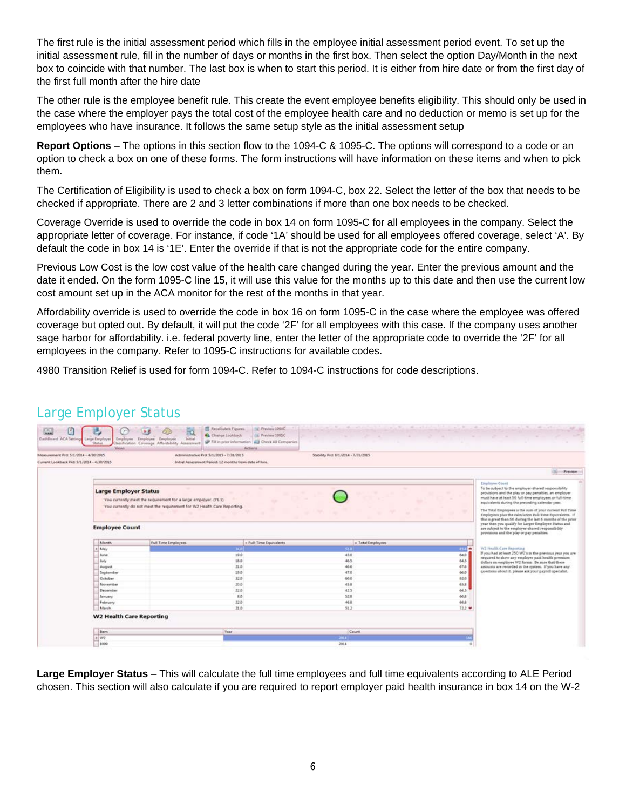The first rule is the initial assessment period which fills in the employee initial assessment period event. To set up the initial assessment rule, fill in the number of days or months in the first box. Then select the option Day/Month in the next box to coincide with that number. The last box is when to start this period. It is either from hire date or from the first day of the first full month after the hire date

The other rule is the employee benefit rule. This create the event employee benefits eligibility. This should only be used in the case where the employer pays the total cost of the employee health care and no deduction or memo is set up for the employees who have insurance. It follows the same setup style as the initial assessment setup

**Report Options** – The options in this section flow to the 1094-C & 1095-C. The options will correspond to a code or an option to check a box on one of these forms. The form instructions will have information on these items and when to pick them.

The Certification of Eligibility is used to check a box on form 1094-C, box 22. Select the letter of the box that needs to be checked if appropriate. There are 2 and 3 letter combinations if more than one box needs to be checked.

Coverage Override is used to override the code in box 14 on form 1095-C for all employees in the company. Select the appropriate letter of coverage. For instance, if code '1A' should be used for all employees offered coverage, select 'A'. By default the code in box 14 is '1E'. Enter the override if that is not the appropriate code for the entire company.

Previous Low Cost is the low cost value of the health care changed during the year. Enter the previous amount and the date it ended. On the form 1095-C line 15, it will use this value for the months up to this date and then use the current low cost amount set up in the ACA monitor for the rest of the months in that year.

Affordability override is used to override the code in box 16 on form 1095-C in the case where the employee was offered coverage but opted out. By default, it will put the code '2F' for all employees with this case. If the company uses another sage harbor for affordability. i.e. federal poverty line, enter the letter of the appropriate code to override the '2F' for all employees in the company. Refer to 1095-C instructions for available codes.

4980 Transition Relief is used for form 1094-C. Refer to 1094-C instructions for code descriptions.

| Measurement Prd: 5/1/2014 - 4/30/2015<br>Current Lookhack Prd: 5/1/2014 - 4/30/2015 | Administrative Prd: 5/1/2015 - 7/31/2015<br>Initial Assessment Period: 12 months from data of hire.                                        | Stability Prd: 8/1/2014 - 7/31/2015 |                                       |                                                                                                                                                                                                                                                                                                                                                                             |
|-------------------------------------------------------------------------------------|--------------------------------------------------------------------------------------------------------------------------------------------|-------------------------------------|---------------------------------------|-----------------------------------------------------------------------------------------------------------------------------------------------------------------------------------------------------------------------------------------------------------------------------------------------------------------------------------------------------------------------------|
|                                                                                     |                                                                                                                                            |                                     |                                       | 66<br>Preview)                                                                                                                                                                                                                                                                                                                                                              |
| <b>Large Employer Status</b>                                                        | You currently meet the requirement for a large employer. (71.1)<br>You currently do not meet the requirement for W2 Health Care Reporting. |                                     |                                       | <b>Employee Count</b><br>To be subject to the employer-shared responsibility<br>provisions and the play or pay penalties, an employer<br>must have at least 50 full-time employees or full-time.<br>equivalents during the preceding calendar year.<br>The Total Employees is the sum of your current Pall Time<br>Employees plus the calculation Pull-Time Equivalents. If |
| <b>Employee Count</b>                                                               |                                                                                                                                            |                                     |                                       | this is great than 50 during the last 6 months of the prior<br>year then you qualify for Larger Employee Status and<br>are subject to the employer-shared responsibility<br>provisions and the play or pay penalties.                                                                                                                                                       |
| Month                                                                               | Full Time Employees                                                                                                                        | + Full-Time Equivalents             | » Total Employees                     | W2 Health Care Reporting                                                                                                                                                                                                                                                                                                                                                    |
| 3 May<br>Juine                                                                      |                                                                                                                                            | 34.0<br>19.0                        | <b>1177 W</b><br>52.3<br>45.0<br>64.0 | If you had at least 250 W2's in the previous year you are                                                                                                                                                                                                                                                                                                                   |
| July                                                                                |                                                                                                                                            | 18.0                                | 46.5<br>64.5                          | required to show any employer paid health premium                                                                                                                                                                                                                                                                                                                           |
| August                                                                              |                                                                                                                                            | 21.0                                | 46.6<br>67.5                          | dollars on employee W2 forms. Be sure that these<br>assounts are recorded as the system. If you have any                                                                                                                                                                                                                                                                    |
| September                                                                           |                                                                                                                                            | 19.0                                | 47D<br>66.0                           | questions about it, please ask your payroll specialist.                                                                                                                                                                                                                                                                                                                     |
| October                                                                             |                                                                                                                                            | 32.0                                | 65.0<br>92.0                          |                                                                                                                                                                                                                                                                                                                                                                             |
| November                                                                            |                                                                                                                                            | 39.0                                | 45.8<br>65.8                          |                                                                                                                                                                                                                                                                                                                                                                             |
|                                                                                     |                                                                                                                                            | 22.0                                | 64.5<br>42.5                          |                                                                                                                                                                                                                                                                                                                                                                             |
| December                                                                            |                                                                                                                                            | RD.                                 | 52.8<br>60.8                          |                                                                                                                                                                                                                                                                                                                                                                             |
| January                                                                             |                                                                                                                                            |                                     | 46.8<br>68.8                          |                                                                                                                                                                                                                                                                                                                                                                             |
| February                                                                            | 22.0                                                                                                                                       |                                     |                                       |                                                                                                                                                                                                                                                                                                                                                                             |
| March                                                                               |                                                                                                                                            | 21.0                                | 51.2<br>$72.2$ $4$                    |                                                                                                                                                                                                                                                                                                                                                                             |

Large Employer Status

**Large Employer Status** – This will calculate the full time employees and full time equivalents according to ALE Period chosen. This section will also calculate if you are required to report employer paid health insurance in box 14 on the W-2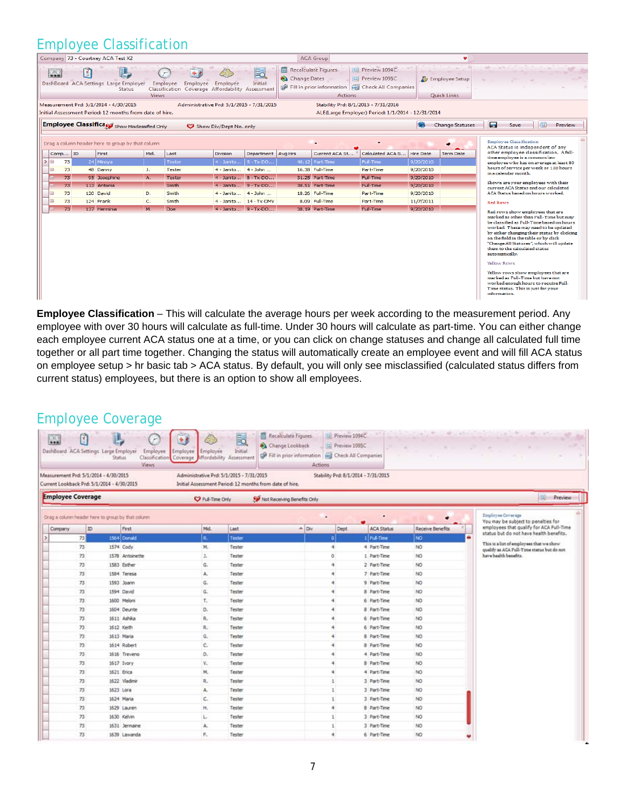## Employee Classification

|               |               |         |             | Company 73 - Courtney ACA Test X2                                                               |              |                                                                                                                      |                        |                      |              | <b>ACA Group</b>                                                                                                                            |                                                   |                  | ٠                                      |                                                      |                                                                                                                                                                                                                                                                                                                                                                                                                                                           |   |         |
|---------------|---------------|---------|-------------|-------------------------------------------------------------------------------------------------|--------------|----------------------------------------------------------------------------------------------------------------------|------------------------|----------------------|--------------|---------------------------------------------------------------------------------------------------------------------------------------------|---------------------------------------------------|------------------|----------------------------------------|------------------------------------------------------|-----------------------------------------------------------------------------------------------------------------------------------------------------------------------------------------------------------------------------------------------------------------------------------------------------------------------------------------------------------------------------------------------------------------------------------------------------------|---|---------|
|               | $\frac{1}{2}$ |         | $\boxed{8}$ | DashBoard ACA Settings Large Employer<br><b>Status</b><br>Measurement Prd: 5/1/2014 - 4/30/2015 | <b>Views</b> | Employee<br>Employee<br>Classification Coverage Affordability Assessment<br>Administrative Prd: 5/1/2015 - 7/31/2015 | Employee               | 昆<br>Initial         | Change Dates | <b>Recalculate Figures</b><br>Fill in prior information   Fill Check All Companies<br><b>Actions</b><br>Stability Prd: 8/1/2015 - 7/31/2016 | Preview 1094C<br><b>Dal</b> Preview 1095C         |                  | <b>D</b> Employee Setup<br>Quick Links | 49-11                                                |                                                                                                                                                                                                                                                                                                                                                                                                                                                           |   |         |
|               |               |         |             | Initial Assessment Period: 12 months from date of hire.                                         |              |                                                                                                                      |                        |                      |              |                                                                                                                                             | ALE(Large Employer) Period: 1/1/2014 - 12/31/2014 |                  |                                        |                                                      |                                                                                                                                                                                                                                                                                                                                                                                                                                                           |   |         |
|               |               |         |             | Employee Classifica Show Misclassified Only                                                     |              |                                                                                                                      | Show Div/Dept No. only |                      |              |                                                                                                                                             |                                                   | <b>Book</b>      | <b>Change Statuses</b>                 | E                                                    | Save                                                                                                                                                                                                                                                                                                                                                                                                                                                      | 园 | Preview |
|               |               |         |             | Drag a column header here to group by that column                                               |              |                                                                                                                      |                        |                      |              |                                                                                                                                             |                                                   |                  |                                        |                                                      | <b>Employee Classification</b><br>ACA Status is independent of any                                                                                                                                                                                                                                                                                                                                                                                        |   |         |
|               |               | Comp ID |             | First                                                                                           | Mid.         | Last                                                                                                                 | <b>Division</b>        | Department Avg Hrs   |              | Current ACA St                                                                                                                              | Calculated ACA S                                  | <b>Hire Date</b> | <b>Term Date</b>                       |                                                      | other emplovee classification. A full-                                                                                                                                                                                                                                                                                                                                                                                                                    |   |         |
| $\rightarrow$ | $\Box$        | 73      |             | 24 Mireya                                                                                       |              | <b>Tester</b>                                                                                                        | $4 - Janito$           | $5 - Tx$ -DO         |              | $40.12$ Part-Time                                                                                                                           | Full-Time                                         | 9/20/2010        |                                        |                                                      | time employee is a common law<br>employee who has on average at least 30                                                                                                                                                                                                                                                                                                                                                                                  |   |         |
|               | E             | 73      |             | 48 Danny                                                                                        | D.           | <b>Tester</b>                                                                                                        | 4 - Janito 4 - John    |                      |              | 16.38 Full-Time                                                                                                                             | Part-Time                                         | 9/20/2010        |                                        |                                                      | hours of service per week or 130 hours<br>in a calendar month.                                                                                                                                                                                                                                                                                                                                                                                            |   |         |
|               |               | 73      |             | 95 Josephine                                                                                    | A.           | <b>Tester</b>                                                                                                        | 4 - Janito 8 - Tx-DO   |                      |              | 31.25 Part-Time                                                                                                                             | Full-Time                                         | 9/20/2010        |                                        |                                                      |                                                                                                                                                                                                                                                                                                                                                                                                                                                           |   |         |
|               |               | 73      |             | 113 Antonia                                                                                     |              | Smith                                                                                                                | 4 - Janito 9 - Tx-DO   |                      |              | 38.51 Part-Time                                                                                                                             | Full-Time                                         | 9/20/2010        |                                        |                                                      | Shown are your employees with their<br>current ACA Status and our calculated                                                                                                                                                                                                                                                                                                                                                                              |   |         |
|               | 田             | 73      |             | 120 David                                                                                       | D.           | Smith                                                                                                                | 4 - Janito 4 - John    |                      |              | 18.26 Full-Time                                                                                                                             | Part-Time                                         | 9/20/2010        |                                        |                                                      | ACA Status based on hours worked.                                                                                                                                                                                                                                                                                                                                                                                                                         |   |         |
|               | Ð             | 73      |             | 124 Frank                                                                                       | c.           | Smith                                                                                                                | 4 - Janito 14 - Tx-DMV |                      |              | 8.09 Full-Time                                                                                                                              | Part-Time                                         | 11/7/2011        |                                        | <b>Red Rows</b>                                      |                                                                                                                                                                                                                                                                                                                                                                                                                                                           |   |         |
|               |               | 73      |             | 137 Herminia                                                                                    | M.           | Doe                                                                                                                  |                        | 4 - Janito 9 - Tx-DO |              | 38.19 Part-Time                                                                                                                             | Full-Time                                         | 9/20/2010        |                                        |                                                      | Red rows show employees that are                                                                                                                                                                                                                                                                                                                                                                                                                          |   |         |
|               |               |         |             |                                                                                                 |              |                                                                                                                      |                        |                      |              |                                                                                                                                             |                                                   |                  |                                        | automatically.<br><b>Yellow Rows</b><br>information. | marked as other than Full-Time but may<br>be classified as Full-Time based on hours<br>worked. These may need to be updated<br>by either changing their status by clicking<br>on the field in the table or by click<br>"Change All Statuses", which will update<br>them to the calculated status<br>Yellow rows show employees that are<br>marked as Full-Time but have not<br>worked enough hours to require Full-<br>Time status. This is just for your |   |         |

**Employee Classification** – This will calculate the average hours per week according to the measurement period. Any employee with over 30 hours will calculate as full-time. Under 30 hours will calculate as part-time. You can either change each employee current ACA status one at a time, or you can click on change statuses and change all calculated full time together or all part time together. Changing the status will automatically create an employee event and will fill ACA status on employee setup > hr basic tab > ACA status. By default, you will only see misclassified (calculated status differs from current status) employees, but there is an option to show all employees.

## Employee Coverage

| $\frac{1}{2}$            |    | DashBoard ACA Settings Large Employer<br>Status                                     | Employee<br>Views. | 小彦<br>Employee<br>Employee<br>Classification Coverage Affordability Assessment | ÷.<br>Initial                                                                                       | Recalculate Figures<br>Change Lookback<br><b>CP</b> Fill in prior information <b>ind</b> Check All Companies<br>Actions | Preview 1094C<br>Di Preview 1095C   | <b>Shoulahout</b><br>$\sim$<br>- | and the state of the state<br>the company of the company<br><b>Service</b>             |
|--------------------------|----|-------------------------------------------------------------------------------------|--------------------|--------------------------------------------------------------------------------|-----------------------------------------------------------------------------------------------------|-------------------------------------------------------------------------------------------------------------------------|-------------------------------------|----------------------------------|----------------------------------------------------------------------------------------|
|                          |    | Measurement Prd: 5/1/2014 - 4/30/2015<br>Current Lookback Prd: 5/1/2014 - 4/30/2015 |                    |                                                                                | Administrative Prd: 5/1/2015 - 7/31/2015<br>Initial Assessment Period: 12 months from date of hire. |                                                                                                                         | Stability Prd: 8/1/2014 - 7/31/2015 |                                  |                                                                                        |
| <b>Employee Coverage</b> |    |                                                                                     |                    | C Full-Time Only                                                               |                                                                                                     | Not Receiving Benefits Only                                                                                             |                                     |                                  | 囤<br>Preview                                                                           |
|                          |    | Drag a column header here to group by that column                                   |                    |                                                                                |                                                                                                     | ٠                                                                                                                       |                                     |                                  | Employee Coverage<br>You may be subject to penalties for                               |
| Company                  | ID | First                                                                               |                    | Mid.                                                                           | Last                                                                                                | $A$ Div.                                                                                                                | <b>ACA Status</b><br>Dept           | Receive Benefits                 | employees that qualify for ACA Full-Time                                               |
|                          | 73 | 1564 Donald                                                                         |                    | R.                                                                             | Tester                                                                                              | ٥I                                                                                                                      | 1 Full-Time                         | NO                               | status but do not have health benefits.                                                |
|                          | 73 | 1574 Cody                                                                           |                    | м.                                                                             | Tester                                                                                              | 4                                                                                                                       | 4 Part-Time                         | NO                               | This is a list of employees that we show<br>qualify as ACA Full-Time status but do not |
|                          | 73 | 1578 Antoinette                                                                     |                    | $J_{\perp}$                                                                    | Tester                                                                                              | ö.                                                                                                                      | 1 Part-Time                         | NO.                              | have health benefits.                                                                  |
|                          | 73 | 1583 Esther                                                                         |                    | G.                                                                             | Tester                                                                                              | 4                                                                                                                       | 2 Part-Time                         | NO                               |                                                                                        |
|                          | 73 | 1584 Teresa                                                                         |                    | A.                                                                             | Tester                                                                                              | ă                                                                                                                       | 7 Part-Time                         | NO.                              |                                                                                        |
|                          | 73 | 1593 Joann                                                                          |                    | G.                                                                             | Tester                                                                                              | 41                                                                                                                      | 9 Part-Time                         | NO.                              |                                                                                        |
|                          | 73 | 1594 David                                                                          |                    | G.                                                                             | Tester                                                                                              | ٠                                                                                                                       | 8 Part-Time                         | NO                               |                                                                                        |
|                          | 73 | 1600 Meloni                                                                         |                    | т.                                                                             | Tester                                                                                              | ۸                                                                                                                       | 6 Part-Time                         | NO                               |                                                                                        |
|                          | 73 | 1604 Deunte                                                                         |                    | D.                                                                             | Tester                                                                                              |                                                                                                                         | 8 Part-Time                         | NO                               |                                                                                        |
|                          | 73 | 1611 Ashka                                                                          |                    | R.                                                                             | Tester                                                                                              |                                                                                                                         | 6 Part-Time                         | NO                               |                                                                                        |
|                          | 73 | 1612 Keith                                                                          |                    | R.                                                                             | Tester                                                                                              |                                                                                                                         | 6 Part-Time                         | NO                               |                                                                                        |
|                          | 73 | 1613 Maria                                                                          |                    | Ğ.                                                                             | Tester                                                                                              | 4                                                                                                                       | 8 Part-Time                         | NO                               |                                                                                        |
|                          | 73 | 1614 Robert                                                                         |                    | Č.                                                                             | Tester                                                                                              | 4                                                                                                                       | 8 Part-Time                         | NO                               |                                                                                        |
|                          | 73 | 1616 Treveno                                                                        |                    | D.                                                                             | Tester                                                                                              | 4                                                                                                                       | 4 Part-Time                         | NO.                              |                                                                                        |
|                          | 73 | 1617 Ivory                                                                          |                    | v.                                                                             | Tester                                                                                              | 4                                                                                                                       | 8 Part-Time                         | NO                               |                                                                                        |
|                          | 73 | 1621 Erica                                                                          |                    | M.                                                                             | Tester                                                                                              | ٠                                                                                                                       | 4 Part-Time                         | NO.                              |                                                                                        |
|                          | 73 | 1622 Vladimir                                                                       |                    | R.,                                                                            | Tester                                                                                              |                                                                                                                         | 3 Part-Time                         | NO.                              |                                                                                        |
|                          | 73 | 1623 Lora                                                                           |                    | A.                                                                             | Tester                                                                                              | 1                                                                                                                       | 3 Part-Time                         | NO                               |                                                                                        |
|                          | 73 | 1624 Maria                                                                          |                    | c.                                                                             | Tester                                                                                              | 1                                                                                                                       | 3 Part-Time                         | NO-                              |                                                                                        |
|                          | 73 | 1629 Lauren                                                                         |                    | Η.                                                                             | Tester                                                                                              | 4                                                                                                                       | 8 Part-Time                         | NO                               |                                                                                        |
|                          | 73 | 1630 Kelvin                                                                         |                    | L.                                                                             | Tester                                                                                              | 1                                                                                                                       | 3 Part-Time                         | NO                               |                                                                                        |
|                          | 73 | 1631 Jermaine                                                                       |                    | A.                                                                             | Tester                                                                                              | $\mathbf{I}$                                                                                                            | 3 Part-Time                         | NO                               |                                                                                        |
|                          | 73 | 1639 Lawanda                                                                        |                    | ۴.                                                                             | Tester                                                                                              | 4                                                                                                                       | 6 Part-Time                         | NO                               |                                                                                        |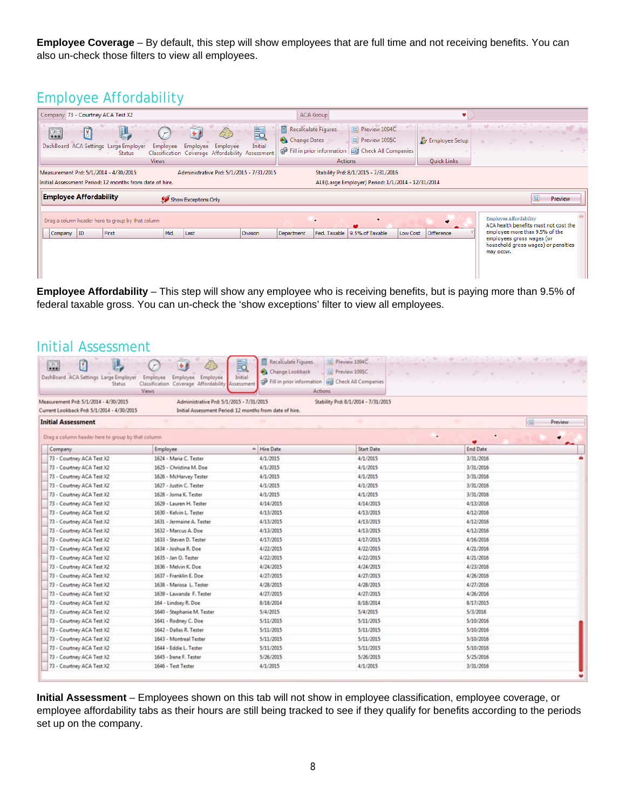**Employee Coverage** – By default, this step will show employees that are full time and not receiving benefits. You can also un-check those filters to view all employees.

## Employee Affordability

| Company 73 - Courtney ACA Test X2                                                                                        |                                                                                                    | <b>ACA Group</b>                                                                                                                                                   |                                                                           |  |  |  |  |  |  |  |  |
|--------------------------------------------------------------------------------------------------------------------------|----------------------------------------------------------------------------------------------------|--------------------------------------------------------------------------------------------------------------------------------------------------------------------|---------------------------------------------------------------------------|--|--|--|--|--|--|--|--|
| Û<br>$\frac{1}{200}$<br>DashBoard ACA Settings Large Employer<br>Employee<br><b>Status</b><br><b>Views</b>               | E <sub>Q</sub><br>Initial<br>Employee Employee<br>Classification Coverage Affordability Assessment | Preview 1094C<br><b>Recalculate Figures</b><br>$\blacksquare$<br>Preview 1095C<br>Change Dates<br>Fill in prior information   River Check All Companies<br>Actions | Employee Setup<br><b>Quick Links</b>                                      |  |  |  |  |  |  |  |  |
| Measurement Prd: 5/1/2014 - 4/30/2015<br>Stability Prd: 8/1/2015 - 7/31/2016<br>Administrative Prd: 5/1/2015 - 7/31/2015 |                                                                                                    |                                                                                                                                                                    |                                                                           |  |  |  |  |  |  |  |  |
| Initial Assessment Period: 12 months from date of hire.                                                                  |                                                                                                    | ALE(Large Employer) Period: 1/1/2014 - 12/31/2014                                                                                                                  |                                                                           |  |  |  |  |  |  |  |  |
| <b>Employee Affordability</b>                                                                                            | Show Exceptions Only                                                                               |                                                                                                                                                                    | Preview                                                                   |  |  |  |  |  |  |  |  |
| Drag a column header here to group by that column                                                                        |                                                                                                    |                                                                                                                                                                    | Employee Affordability<br>ACA health benefits must not cost the           |  |  |  |  |  |  |  |  |
| Mid.<br>First<br>Company ID                                                                                              | Last<br><b>Division</b>                                                                            | Fed. Taxable<br>9.5% of Taxable<br>Low Cost<br>Department                                                                                                          | employee more than 9.5% of the<br>Difference<br>employees gross wages (or |  |  |  |  |  |  |  |  |
|                                                                                                                          |                                                                                                    |                                                                                                                                                                    | household gross wages) or penalties<br>may occur.                         |  |  |  |  |  |  |  |  |

**Employee Affordability** – This step will show any employee who is receiving benefits, but is paying more than 9.5% of federal taxable gross. You can un-check the 'show exceptions' filter to view all employees.

| Initial Assessment                                                                  |                                                                                                   |                                                         |                                                                                                     |                                     |                         |
|-------------------------------------------------------------------------------------|---------------------------------------------------------------------------------------------------|---------------------------------------------------------|-----------------------------------------------------------------------------------------------------|-------------------------------------|-------------------------|
| pg.<br>DashBoard ACA Settings Large Employer<br><b>Status</b>                       | Employee<br>Employee Employee<br>Classification Coverage Affordability Assessment<br><b>Views</b> | Recalculate Figures<br>FQ<br>Change Lookback<br>Initial | D Preview 1094C<br>Preview 1095C<br>P Fill in prior information [ H] Check All Companies<br>Actions | Market and the Control of the State | <b>ARCOUNTIL</b>        |
| Measurement Prd: 5/1/2014 - 4/30/2015<br>Current Lookback Prd: 5/1/2014 - 4/30/2015 | Administrative Prd: 5/1/2015 - 7/31/2015                                                          | Initial Assessment Period: 12 months from date of hire. | Stability Prd: 8/1/2014 - 7/31/2015                                                                 |                                     |                         |
| <b>Initial Assessment</b>                                                           |                                                                                                   |                                                         |                                                                                                     |                                     | $ 32\rangle$<br>Preview |
| Drag a column header here to group by that column                                   |                                                                                                   |                                                         |                                                                                                     | ٠                                   |                         |
| Company                                                                             | Employee                                                                                          | A Hire Date                                             | <b>Start Date</b>                                                                                   | <b>End Date</b>                     |                         |
| 73 - Courtney ACA Test X2                                                           | 1624 - Maria C. Tester                                                                            | 4/1/2015                                                | 4/1/2015                                                                                            | 3/31/2016                           |                         |
| 73 - Courtney ACA Test X2                                                           | 1625 - Christina M. Doe                                                                           | 4/1/2015                                                | 4/1/2015                                                                                            | 3/31/2016                           |                         |
| 73 - Courtney ACA Test X2                                                           | 1626 - McHarvey Tester                                                                            | 4/1/2015                                                | 4/1/2015                                                                                            | 3/31/2016                           |                         |
| 73 - Courtney ACA Test X2                                                           | 1627 - Justin C. Tester                                                                           | 4/1/2015                                                | 4/1/2015                                                                                            | 3/31/2016                           |                         |
| 73 - Courtney ACA Test X2                                                           | 1628 - Jorna K. Tester                                                                            | 4/1/2015                                                | 4/1/2015                                                                                            | 3/31/2016                           |                         |
| 73 - Courtney ACA Test X2                                                           | 1629 - Lauren H. Tester                                                                           | 4/14/2015                                               | 4/14/2015                                                                                           | 4/13/2016                           |                         |
| 73 - Courtney ACA Test X2                                                           | 1630 - Kelvin L. Tester                                                                           | 4/13/2015                                               | 4/13/2015                                                                                           | 4/12/2016                           |                         |
| 73 - Courtney ACA Test X2                                                           | 1631 - Jermaine A. Tester                                                                         | 4/13/2015                                               | 4/13/2015                                                                                           | 4/12/2016                           |                         |
| 73 - Courtney ACA Test X2                                                           | 1632 - Marcus A. Doe                                                                              | 4/13/2015                                               | 4/13/2015                                                                                           | 4/12/2016                           |                         |
| 73 - Courtney ACA Test X2                                                           | 1633 - Steven D. Tester                                                                           | 4/17/2015                                               | 4/17/2015                                                                                           | 4/16/2016                           |                         |
| 73 - Courtney ACA Test X2                                                           | 1634 - Joshua R. Doe                                                                              | 4/22/2015                                               | 4/22/2015                                                                                           | 4/21/2016                           |                         |
| 73 - Courtney ACA Test X2                                                           | 1635 - Jan O. Tester                                                                              | 4/22/2015                                               | 4/22/2015                                                                                           | 4/21/2016                           |                         |
| 73 - Courtney ACA Test X2                                                           | 1636 - Melvin K. Doe                                                                              | 4/24/2015                                               | 4/24/2015                                                                                           | 4/23/2016                           |                         |
| 73 - Courtney ACA Test X2                                                           | 1637 - Franklin E. Doe                                                                            | 4/27/2015                                               | 4/27/2015                                                                                           | 4/26/2016                           |                         |
| 73 - Courtney ACA Test X2                                                           | 1638 - Marissa L. Tester                                                                          | 4/28/2015                                               | 4/28/2015                                                                                           | 4/27/2016                           |                         |
| 73 - Courtney ACA Test X2                                                           | 1639 - Lawanda F. Tester                                                                          | 4/27/2015                                               | 4/27/2015                                                                                           | 4/26/2016                           |                         |
| 73 - Courtney ACA Test X2                                                           | 164 - Lindsey R. Doe                                                                              | 8/18/2014                                               | 8/18/2014                                                                                           | 8/17/2015                           |                         |
| 73 - Courtney ACA Test X2                                                           | 1640 - Stephanie M. Tester                                                                        | 5/4/2015                                                | 5/4/2015                                                                                            | 5/3/2016                            |                         |
| 73 - Courtney ACA Test X2                                                           | 1641 - Rodney C. Doe                                                                              | 5/11/2015                                               | 5/11/2015                                                                                           | 5/10/2016                           |                         |
| 73 - Courtney ACA Test X2                                                           | 1642 - Dallas R. Tester                                                                           | 5/11/2015                                               | 5/11/2015                                                                                           | 5/10/2016                           |                         |
| 73 - Courtney ACA Test X2                                                           | 1643 - Montreal Tester                                                                            | 5/11/2015                                               | 5/11/2015                                                                                           | 5/10/2016                           |                         |
| 73 - Courtney ACA Test X2                                                           | 1644 - Eddie L. Tester                                                                            | 5/11/2015                                               | 5/11/2015                                                                                           | 5/10/2016                           |                         |
| 73 - Courtney ACA Test X2                                                           | 1645 - Irene F. Tester                                                                            | 5/26/2015                                               | 5/26/2015                                                                                           | 5/25/2016                           |                         |
| 73 - Courtney ACA Test X2                                                           | 1646 - Test Tester                                                                                | 4/1/2015                                                | 4/1/2015                                                                                            | 3/31/2016                           |                         |

**Initial Assessment** – Employees shown on this tab will not show in employee classification, employee coverage, or employee affordability tabs as their hours are still being tracked to see if they qualify for benefits according to the periods set up on the company.